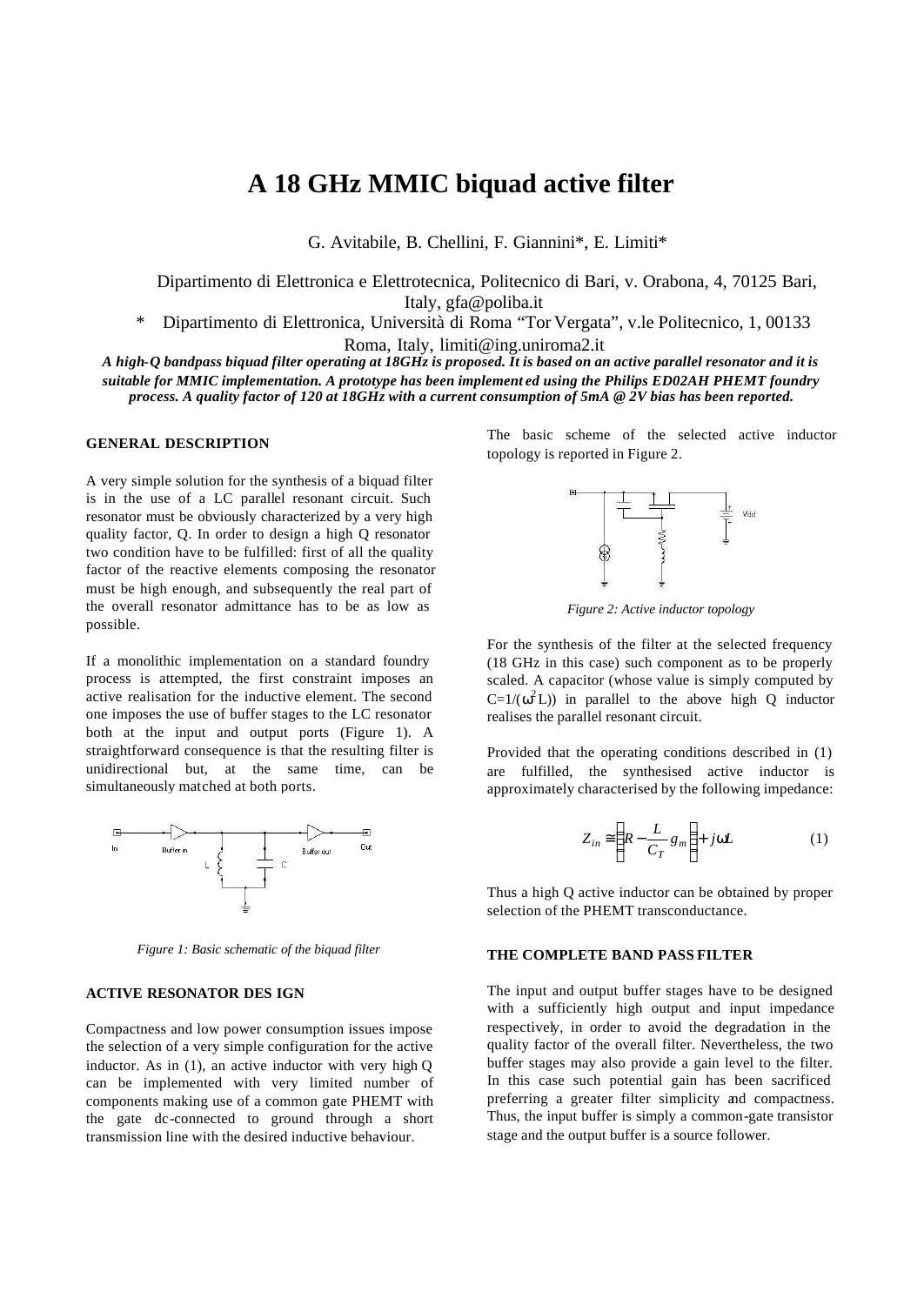# **A 18 GHz MMIC biquad active filter**

G. Avitabile, B. Chellini, F. Giannini\*, E. Limiti\*

Dipartimento di Elettronica e Elettrotecnica, Politecnico di Bari, v. Orabona, 4, 70125 Bari, Italy, gfa@poliba.it

\* Dipartimento di Elettronica, Università di Roma "Tor Vergata", v.le Politecnico, 1, 00133 Roma, Italy, limiti@ing.uniroma2.it

*A high-Q bandpass biquad filter operating at 18GHz is proposed. It is based on an active parallel resonator and it is suitable for MMIC implementation. A prototype has been implement ed using the Philips ED02AH PHEMT foundry process. A quality factor of 120 at 18GHz with a current consumption of 5mA @ 2V bias has been reported.*

#### **GENERAL DESCRIPTION**

A very simple solution for the synthesis of a biquad filter is in the use of a LC parallel resonant circuit. Such resonator must be obviously characterized by a very high quality factor, Q. In order to design a high Q resonator two condition have to be fulfilled: first of all the quality factor of the reactive elements composing the resonator must be high enough, and subsequently the real part of the overall resonator admittance has to be as low as possible.

If a monolithic implementation on a standard foundry process is attempted, the first constraint imposes an active realisation for the inductive element. The second one imposes the use of buffer stages to the LC resonator both at the input and output ports (Figure 1). A straightforward consequence is that the resulting filter is unidirectional but, at the same time, can be simultaneously matched at both ports.



*Figure 1: Basic schematic of the biquad filter*

# **ACTIVE RESONATOR DES IGN**

Compactness and low power consumption issues impose the selection of a very simple configuration for the active inductor. As in (1), an active inductor with very high Q can be implemented with very limited number of components making use of a common gate PHEMT with the gate dc-connected to ground through a short transmission line with the desired inductive behaviour.

The basic scheme of the selected active inductor topology is reported in Figure 2.



*Figure 2: Active inductor topology*

For the synthesis of the filter at the selected frequency (18 GHz in this case) such component as to be properly scaled. A capacitor (whose value is simply computed by  $C=1/(\omega^2 L)$  in parallel to the above high Q inductor realises the parallel resonant circuit.

Provided that the operating conditions described in (1) are fulfilled, the synthesised active inductor is approximately characterised by the following impedance:

$$
Z_{in} \cong \left(R - \frac{L}{C_T} g_m\right) + jwL \tag{1}
$$

Thus a high Q active inductor can be obtained by proper selection of the PHEMT transconductance.

#### **THE COMPLETE BAND PASS FILTER**

The input and output buffer stages have to be designed with a sufficiently high output and input impedance respectively, in order to avoid the degradation in the quality factor of the overall filter. Nevertheless, the two buffer stages may also provide a gain level to the filter. In this case such potential gain has been sacrificed preferring a greater filter simplicity and compactness. Thus, the input buffer is simply a common-gate transistor stage and the output buffer is a source follower.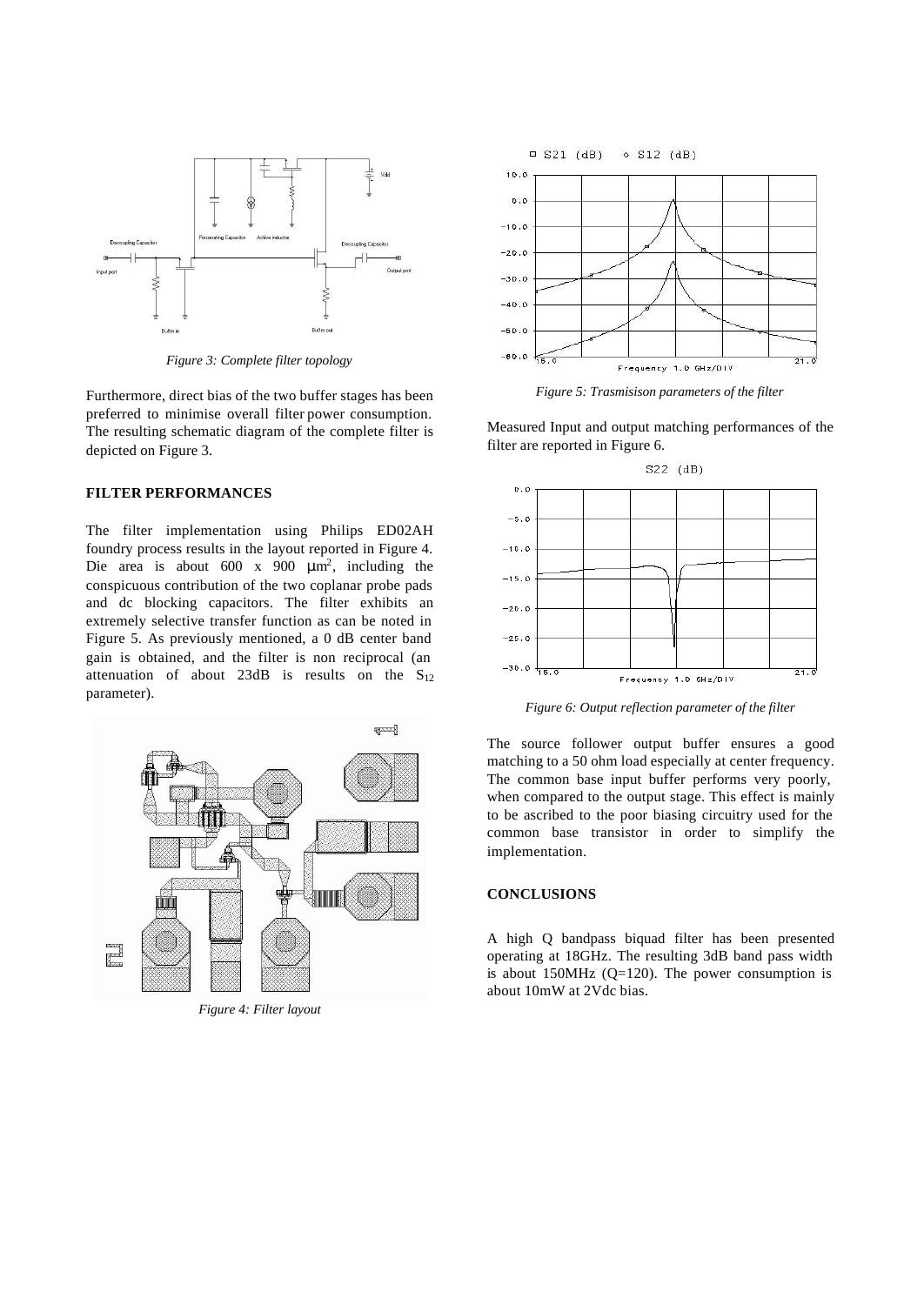

*Figure 3: Complete filter topology*

Furthermore, direct bias of the two buffer stages has been preferred to minimise overall filter power consumption. The resulting schematic diagram of the complete filter is depicted on Figure 3.

## **FILTER PERFORMANCES**

The filter implementation using Philips ED02AH foundry process results in the layout reported in Figure 4. Die area is about 600 x 900  $\mu$ m<sup>2</sup>, including the conspicuous contribution of the two coplanar probe pads and dc blocking capacitors. The filter exhibits an extremely selective transfer function as can be noted in Figure 5. As previously mentioned, a 0 dB center band gain is obtained, and the filter is non reciprocal (an attenuation of about 23dB is results on the  $S_{12}$ parameter).



*Figure 4: Filter layout*



*Figure 5: Trasmisison parameters of the filter*

Measured Input and output matching performances of the filter are reported in Figure 6.



*Figure 6: Output reflection parameter of the filter*

The source follower output buffer ensures a good matching to a 50 ohm load especially at center frequency. The common base input buffer performs very poorly, when compared to the output stage. This effect is mainly to be ascribed to the poor biasing circuitry used for the common base transistor in order to simplify the implementation.

### **CONCLUSIONS**

A high Q bandpass biquad filter has been presented operating at 18GHz. The resulting 3dB band pass width is about 150MHz  $(Q=120)$ . The power consumption is about 10mW at 2Vdc bias.